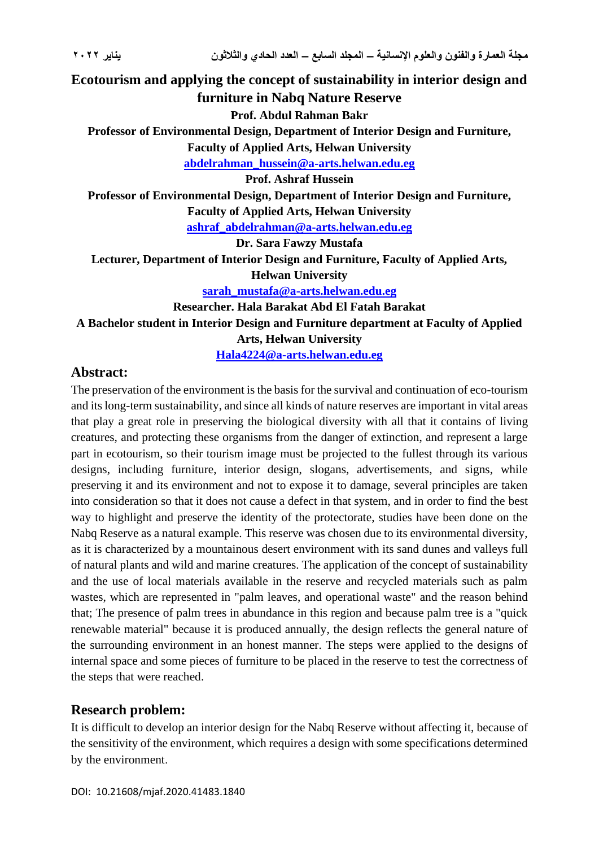# **Ecotourism and applying the concept of sustainability in interior design and furniture in Nabq Nature Reserve Prof. Abdul Rahman Bakr Professor of Environmental Design, Department of Interior Design and Furniture, Faculty of Applied Arts, Helwan University [abdelrahman\\_hussein@a-arts.helwan.edu.eg](mailto:abdelrahman_hussein@a-arts.helwan.edu.eg) Prof. Ashraf Hussein Professor of Environmental Design, Department of Interior Design and Furniture, Faculty of Applied Arts, Helwan University [ashraf\\_abdelrahman@a-arts.helwan.edu.eg](mailto:ashraf_abdelrahman@a-arts.helwan.edu.eg) Dr. Sara Fawzy Mustafa Lecturer, Department of Interior Design and Furniture, Faculty of Applied Arts, Helwan University [sarah\\_mustafa@a-arts.helwan.edu.eg](mailto:sarah_mustafa@a-arts.helwan.edu.eg) Researcher. Hala Barakat Abd El Fatah Barakat A Bachelor student in Interior Design and Furniture department at Faculty of Applied Arts, Helwan University Hala4224@a-arts.helwan.edu.eg**

# **Abstract:**

The preservation of the environment is the basis for the survival and continuation of eco-tourism and its long-term sustainability, and since all kinds of nature reserves are important in vital areas that play a great role in preserving the biological diversity with all that it contains of living creatures, and protecting these organisms from the danger of extinction, and represent a large part in ecotourism, so their tourism image must be projected to the fullest through its various designs, including furniture, interior design, slogans, advertisements, and signs, while preserving it and its environment and not to expose it to damage, several principles are taken into consideration so that it does not cause a defect in that system, and in order to find the best way to highlight and preserve the identity of the protectorate, studies have been done on the Nabq Reserve as a natural example. This reserve was chosen due to its environmental diversity, as it is characterized by a mountainous desert environment with its sand dunes and valleys full of natural plants and wild and marine creatures. The application of the concept of sustainability and the use of local materials available in the reserve and recycled materials such as palm wastes, which are represented in "palm leaves, and operational waste" and the reason behind that; The presence of palm trees in abundance in this region and because palm tree is a "quick renewable material" because it is produced annually, the design reflects the general nature of the surrounding environment in an honest manner. The steps were applied to the designs of internal space and some pieces of furniture to be placed in the reserve to test the correctness of the steps that were reached.

# **Research problem :**

It is difficult to develop an interior design for the Nabq Reserve without affecting it, because of the sensitivity of the environment, which requires a design with some specifications determined by the environment.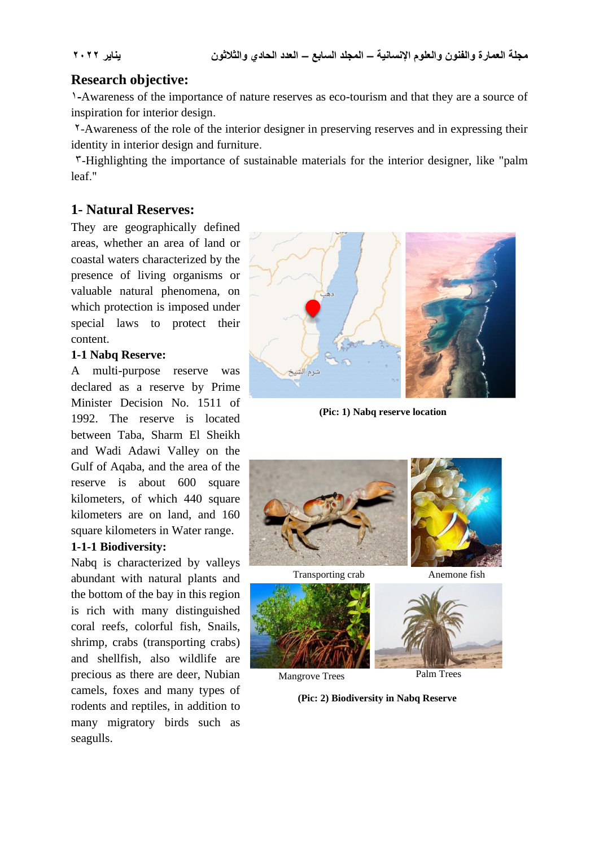# **Research objective:**

1**-**Awareness of the importance of nature reserves as eco-tourism and that they are a source of inspiration for interior design.

 2-Awareness of the role of the interior designer in preserving reserves and in expressing their identity in interior design and furniture.

 3-Highlighting the importance of sustainable materials for the interior designer, like "palm leaf "

# **1- Natural Reserves:**

They are geographically defined areas, whether an area of land or coastal waters characterized by the presence of living organisms or valuable natural phenomena, on which protection is imposed under special laws to protect their content.

#### **1-1 Nabq Reserve:**

A multi-purpose reserve was declared as a reserve by Prime Minister Decision No. 1511 of 1992. The reserve is located between Taba, Sharm El Sheikh and Wadi Adawi Valley on the Gulf of Aqaba, and the area of the reserve is about 600 square kilometers, of which 440 square kilometers are on land, and 160 square kilometers in Water range.

#### **1-1-1 Biodiversity:**

Nabq is characterized by valleys abundant with natural plants and the bottom of the bay in this region is rich with many distinguished coral reefs, colorful fish, Snails, shrimp, crabs (transporting crabs) and shellfish, also wildlife are precious as there are deer, Nubian camels, foxes and many types of rodents and reptiles, in addition to many migratory birds such as seagulls.



**(Pic: 1) Nabq reserve location**



Transporting crab Anemone fish





Mangrove Trees Palm Trees

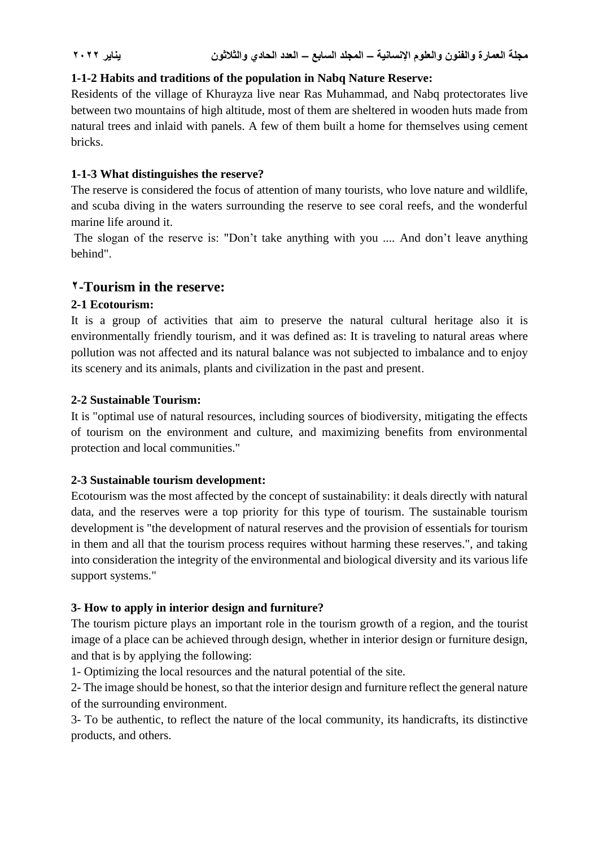# **1-1-2 Habits and traditions of the population in Nabq Nature Reserve:**

Residents of the village of Khurayza live near Ras Muhammad, and Nabq protectorates live between two mountains of high altitude, most of them are sheltered in wooden huts made from natural trees and inlaid with panels. A few of them built a home for themselves using cement bricks.

### **1-1-3 What distinguishes the reserve?**

The reserve is considered the focus of attention of many tourists, who love nature and wildlife, and scuba diving in the waters surrounding the reserve to see coral reefs, and the wonderful marine life around it.

The slogan of the reserve is: "Don't take anything with you .... And don't leave anything behind".

# **2-Tourism in the reserve :**

# **2-1 Ecotourism:**

It is a group of activities that aim to preserve the natural cultural heritage also it is environmentally friendly tourism, and it was defined as: It is traveling to natural areas where pollution was not affected and its natural balance was not subjected to imbalance and to enjoy its scenery and its animals, plants and civilization in the past and present.

#### **2-2 Sustainable Tourism:**

It is "optimal use of natural resources, including sources of biodiversity, mitigating the effects of tourism on the environment and culture, and maximizing benefits from environmental protection and local communities."

#### **2-3 Sustainable tourism development:**

Ecotourism was the most affected by the concept of sustainability: it deals directly with natural data, and the reserves were a top priority for this type of tourism. The sustainable tourism development is "the development of natural reserves and the provision of essentials for tourism in them and all that the tourism process requires without harming these reserves.", and taking into consideration the integrity of the environmental and biological diversity and its various life support systems."

# **3- How to apply in interior design and furniture?**

The tourism picture plays an important role in the tourism growth of a region, and the tourist image of a place can be achieved through design, whether in interior design or furniture design, and that is by applying the following:

1- Optimizing the local resources and the natural potential of the site.

2- The image should be honest, so that the interior design and furniture reflect the general nature of the surrounding environment.

3- To be authentic, to reflect the nature of the local community, its handicrafts, its distinctive products, and others.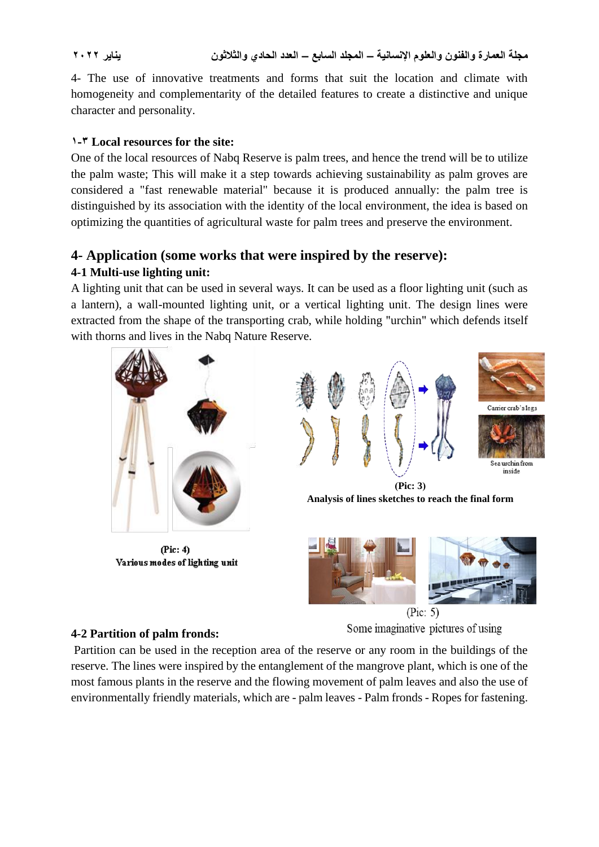4- The use of innovative treatments and forms that suit the location and climate with homogeneity and complementarity of the detailed features to create a distinctive and unique character and personality.

# **1-3 Local resources for the site:**

One of the local resources of Nabq Reserve is palm trees, and hence the trend will be to utilize the palm waste; This will make it a step towards achieving sustainability as palm groves are considered a "fast renewable material" because it is produced annually: the palm tree is distinguished by its association with the identity of the local environment, the idea is based on optimizing the quantities of agricultural waste for palm trees and preserve the environment.

# **4- Application (some works that were inspired by the reserve):**

# **4-1 Multi-use lighting unit:**

A lighting unit that can be used in several ways. It can be used as a floor lighting unit (such as a lantern), a wall-mounted lighting unit, or a vertical lighting unit. The design lines were extracted from the shape of the transporting crab, while holding "urchin" which defends itself with thorns and lives in the Nabq Nature Reserve.



 $(Pic: 4)$ Various modes of lighting unit





 **)Pic: 3( Analysis of lines sketches to reach the final form**



 $(Pic: 5)$ 

Some imaginative pictures of using

# **4-2 Partition of palm fronds:**

Partition can be used in the reception area of the reserve or any room in the buildings of the reserve. The lines were inspired by the entanglement of the mangrove plant, which is one of the most famous plants in the reserve and the flowing movement of palm leaves and also the use of environmentally friendly materials, which are - palm leaves - Palm fronds - Ropes for fastening.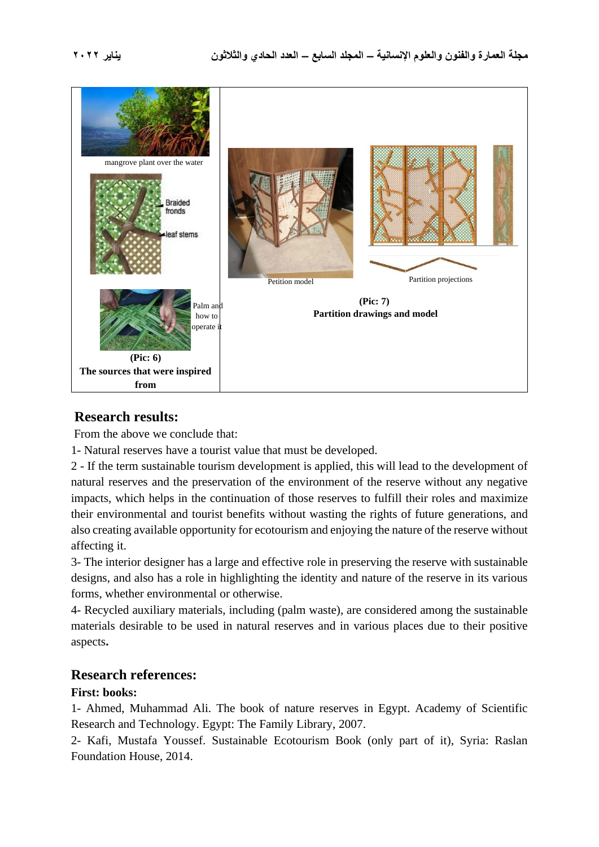

# **Research results:**

From the above we conclude that:

1- Natural reserves have a tourist value that must be developed.

2 - If the term sustainable tourism development is applied, this will lead to the development of natural reserves and the preservation of the environment of the reserve without any negative impacts, which helps in the continuation of those reserves to fulfill their roles and maximize their environmental and tourist benefits without wasting the rights of future generations, and also creating available opportunity for ecotourism and enjoying the nature of the reserve without affecting it.

3- The interior designer has a large and effective role in preserving the reserve with sustainable designs, and also has a role in highlighting the identity and nature of the reserve in its various forms, whether environmental or otherwise.

4- Recycled auxiliary materials, including (palm waste), are considered among the sustainable materials desirable to be used in natural reserves and in various places due to their positive aspects**.**

# **Research references:**

#### **First: books:**

1- Ahmed, Muhammad Ali. The book of nature reserves in Egypt. Academy of Scientific Research and Technology. Egypt: The Family Library, 2007.

2- Kafi, Mustafa Youssef. Sustainable Ecotourism Book (only part of it), Syria: Raslan Foundation House, 2014.